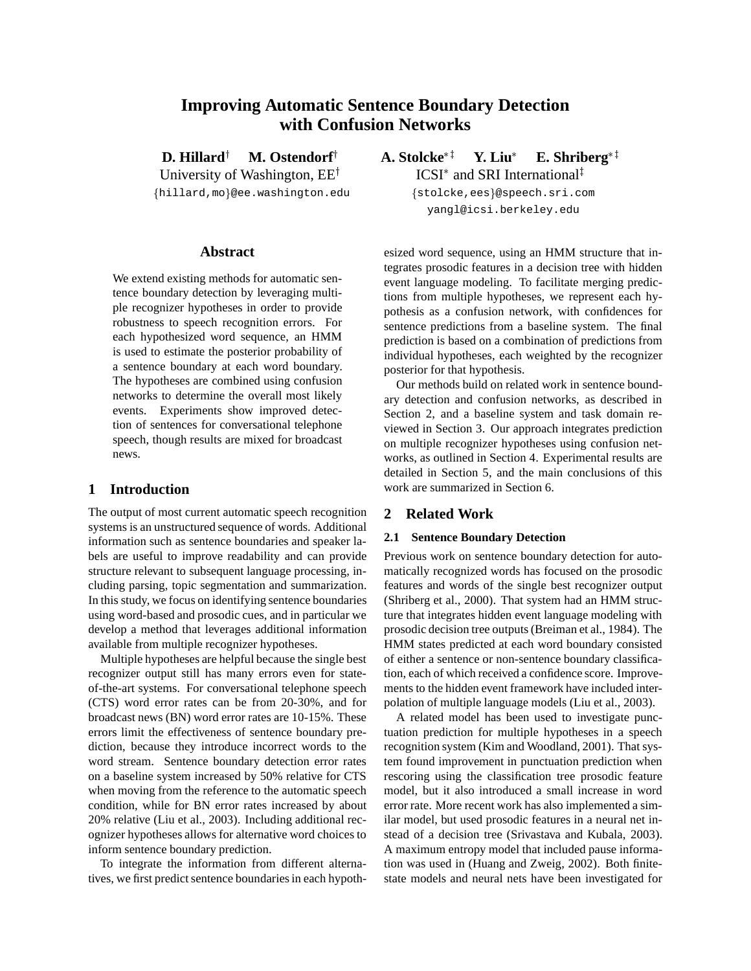# **Improving Automatic Sentence Boundary Detection with Confusion Networks**

**D. Hillard<sup>†</sup> M. Ostendorf<sup>†</sup>** University of Washington,  $EE^{\dagger}$ 

{hillard, mo}@ee.washington.edu

## **Abstract**

We extend existing methods for automatic sentence boundary detection by leveraging multiple recognizer hypotheses in order to provide robustness to speech recognition errors. For each hypothesized word sequence, an HMM is used to estimate the posterior probability of a sentence boundary at each word boundary. The hypotheses are combined using confusion networks to determine the overall most likely events. Experiments show improved detection of sentences for conversational telephone speech, though results are mixed for broadcast news.

## **1 Introduction**

The output of most current automatic speech recognition systems is an unstructured sequence of words. Additional information such as sentence boundaries and speaker labels are useful to improve readability and can provide structure relevant to subsequent language processing, including parsing, topic segmentation and summarization. In this study, we focus on identifying sentence boundaries using word-based and prosodic cues, and in particular we develop a method that leverages additional information available from multiple recognizer hypotheses.

Multiple hypotheses are helpful because the single best recognizer output still has many errors even for stateof-the-art systems. For conversational telephone speech (CTS) word error rates can be from 20-30%, and for broadcast news (BN) word error rates are 10-15%. These errors limit the effectiveness of sentence boundary prediction, because they introduce incorrect words to the word stream. Sentence boundary detection error rates on a baseline system increased by 50% relative for CTS when moving from the reference to the automatic speech condition, while for BN error rates increased by about 20% relative (Liu et al., 2003). Including additional recognizer hypotheses allows for alternative word choices to inform sentence boundary prediction.

To integrate the information from different alternatives, we first predict sentence boundaries in each hypothA. Stolcke<sup>\*†</sup> Y. Liu<sup>\*</sup>  $E.$  Shriberg<sup>\*1</sup> ICSI<sup>\*</sup> and SRI International<sup>‡</sup>

> {stolcke,ees}@speech.sri.com yangl@icsi.berkeley.edu

esized word sequence, using an HMM structure that integrates prosodic features in a decision tree with hidden event language modeling. To facilitate merging predictions from multiple hypotheses, we represent each hypothesis as a confusion network, with confidences for sentence predictions from a baseline system. The final prediction is based on a combination of predictions from individual hypotheses, each weighted by the recognizer posterior for that hypothesis.

Our methods build on related work in sentence boundary detection and confusion networks, as described in Section 2, and a baseline system and task domain reviewed in Section 3. Our approach integrates prediction on multiple recognizer hypotheses using confusion networks, as outlined in Section 4. Experimental results are detailed in Section 5, and the main conclusions of this work are summarized in Section 6.

## **2 Related Work**

#### **2.1 Sentence Boundary Detection**

Previous work on sentence boundary detection for automatically recognized words has focused on the prosodic features and words of the single best recognizer output (Shriberg et al., 2000). That system had an HMM structure that integrates hidden event language modeling with prosodic decision tree outputs (Breiman et al., 1984). The HMM states predicted at each word boundary consisted of either a sentence or non-sentence boundary classification, each of which received a confidence score. Improvements to the hidden event framework have included interpolation of multiple language models (Liu et al., 2003).

A related model has been used to investigate punctuation prediction for multiple hypotheses in a speech recognition system (Kim and Woodland, 2001). That system found improvement in punctuation prediction when rescoring using the classification tree prosodic feature model, but it also introduced a small increase in word error rate. More recent work has also implemented a similar model, but used prosodic features in a neural net instead of a decision tree (Srivastava and Kubala, 2003). A maximum entropy model that included pause information was used in (Huang and Zweig, 2002). Both finitestate models and neural nets have been investigated for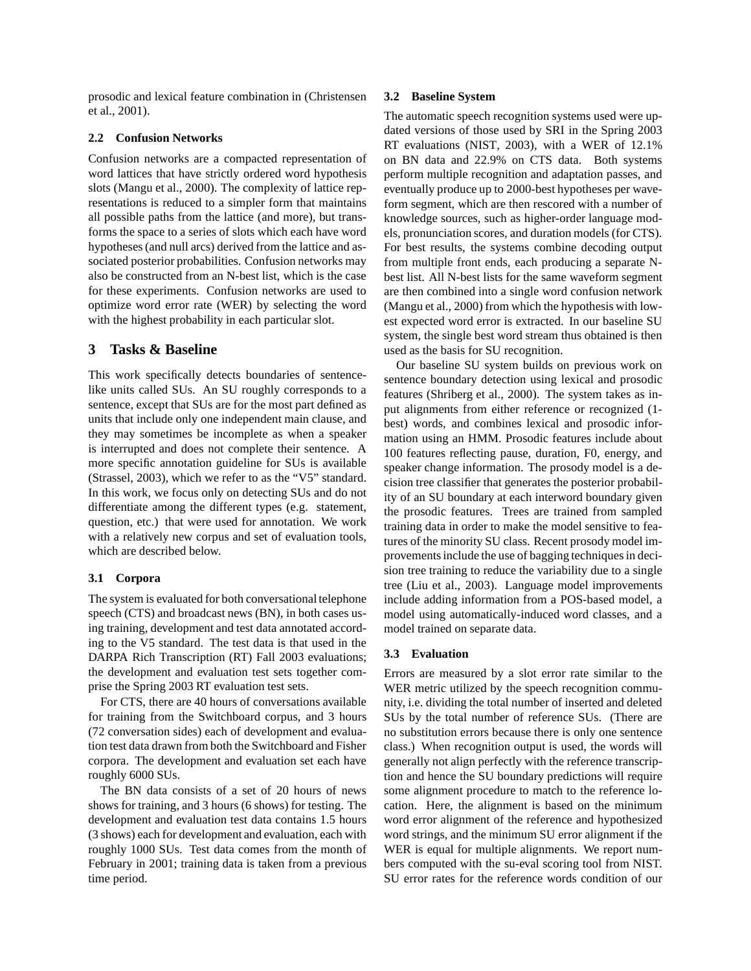prosodic and lexical feature combination in (Christensen et al., 2001).

#### **2.2 Confusion Networks**

Confusion networks are a compacted representation of word lattices that have strictly ordered word hypothesis slots (Mangu et al., 2000). The complexity of lattice representations is reduced to a simpler form that maintains all possible paths from the lattice (and more), but transforms the space to a series of slots which each have word hypotheses (and null arcs) derived from the lattice and associated posterior probabilities. Confusion networks may also be constructed from an N-best list, which is the case for these experiments. Confusion networks are used to optimize word error rate (WER) by selecting the word with the highest probability in each particular slot.

## **3 Tasks & Baseline**

This work specifically detects boundaries of sentencelike units called SUs. An SU roughly corresponds to a sentence, except that SUs are for the most part defined as units that include only one independent main clause, and they may sometimes be incomplete as when a speaker is interrupted and does not complete their sentence. A more specific annotation guideline for SUs is available (Strassel, 2003), which we refer to as the "V5" standard. In this work, we focus only on detecting SUs and do not differentiate among the different types (e.g. statement, question, etc.) that were used for annotation. We work with a relatively new corpus and set of evaluation tools, which are described below.

### **3.1 Corpora**

The system is evaluated for both conversational telephone speech (CTS) and broadcast news (BN), in both cases using training, development and test data annotated according to the V5 standard. The test data is that used in the DARPA Rich Transcription (RT) Fall 2003 evaluations; the development and evaluation test sets together comprise the Spring 2003 RT evaluation test sets.

For CTS, there are 40 hours of conversations available for training from the Switchboard corpus, and 3 hours (72 conversation sides) each of development and evaluation test data drawn from both the Switchboard and Fisher corpora. The development and evaluation set each have roughly 6000 SUs.

The BN data consists of a set of 20 hours of news shows for training, and 3 hours (6 shows) for testing. The development and evaluation test data contains 1.5 hours (3 shows) each for development and evaluation, each with roughly 1000 SUs. Test data comes from the month of February in 2001; training data is taken from a previous time period.

#### **3.2 Baseline System**

The automatic speech recognition systems used were updated versions of those used by SRI in the Spring 2003 RT evaluations (NIST, 2003), with a WER of 12.1% on BN data and 22.9% on CTS data. Both systems perform multiple recognition and adaptation passes, and eventually produce up to 2000-best hypotheses per waveform segment, which are then rescored with a number of knowledge sources, such as higher-order language models, pronunciation scores, and duration models (for CTS). For best results, the systems combine decoding output from multiple front ends, each producing a separate Nbest list. All N-best lists for the same waveform segment are then combined into a single word confusion network (Mangu et al., 2000) from which the hypothesis with lowest expected word error is extracted. In our baseline SU system, the single best word stream thus obtained is then used as the basis for SU recognition.

Our baseline SU system builds on previous work on sentence boundary detection using lexical and prosodic features (Shriberg et al., 2000). The system takes as input alignments from either reference or recognized (1 best) words, and combines lexical and prosodic information using an HMM. Prosodic features include about 100 features reflecting pause, duration, F0, energy, and speaker change information. The prosody model is a decision tree classifier that generates the posterior probability of an SU boundary at each interword boundary given the prosodic features. Trees are trained from sampled training data in order to make the model sensitive to features of the minority SU class. Recent prosody model improvements include the use of bagging techniques in decision tree training to reduce the variability due to a single tree (Liu et al., 2003). Language model improvements include adding information from a POS-based model, a model using automatically-induced word classes, and a model trained on separate data.

#### **3.3 Evaluation**

Errors are measured by a slot error rate similar to the WER metric utilized by the speech recognition community, i.e. dividing the total number of inserted and deleted SUs by the total number of reference SUs. (There are no substitution errors because there is only one sentence class.) When recognition output is used, the words will generally not align perfectly with the reference transcription and hence the SU boundary predictions will require some alignment procedure to match to the reference location. Here, the alignment is based on the minimum word error alignment of the reference and hypothesized word strings, and the minimum SU error alignment if the WER is equal for multiple alignments. We report numbers computed with the su-eval scoring tool from NIST. SU error rates for the reference words condition of our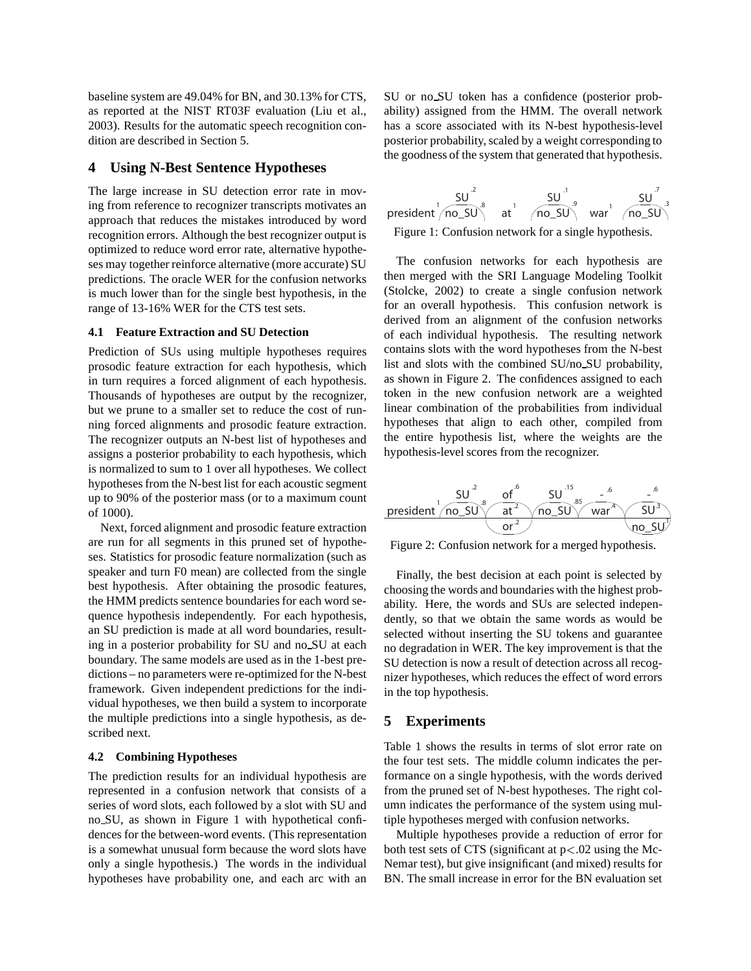baseline system are 49.04% for BN, and 30.13% for CTS, as reported at the NIST RT03F evaluation (Liu et al., 2003). Results for the automatic speech recognition condition are described in Section 5.

## **4 Using N-Best Sentence Hypotheses**

The large increase in SU detection error rate in moving from reference to recognizer transcripts motivates an approach that reduces the mistakes introduced by word recognition errors. Although the best recognizer output is optimized to reduce word error rate, alternative hypotheses may together reinforce alternative (more accurate) SU predictions. The oracle WER for the confusion networks is much lower than for the single best hypothesis, in the range of 13-16% WER for the CTS test sets.

#### **4.1 Feature Extraction and SU Detection**

Prediction of SUs using multiple hypotheses requires prosodic feature extraction for each hypothesis, which in turn requires a forced alignment of each hypothesis. Thousands of hypotheses are output by the recognizer, but we prune to a smaller set to reduce the cost of running forced alignments and prosodic feature extraction. The recognizer outputs an N-best list of hypotheses and assigns a posterior probability to each hypothesis, which is normalized to sum to 1 over all hypotheses. We collect hypotheses from the N-best list for each acoustic segment up to 90% of the posterior mass (or to a maximum count of 1000).

Next, forced alignment and prosodic feature extraction are run for all segments in this pruned set of hypotheses. Statistics for prosodic feature normalization (such as speaker and turn F0 mean) are collected from the single best hypothesis. After obtaining the prosodic features, the HMM predicts sentence boundaries for each word sequence hypothesis independently. For each hypothesis, an SU prediction is made at all word boundaries, resulting in a posterior probability for SU and no SU at each boundary. The same models are used as in the 1-best predictions – no parameters were re-optimized for the N-best framework. Given independent predictions for the individual hypotheses, we then build a system to incorporate the multiple predictions into a single hypothesis, as described next.

#### **4.2 Combining Hypotheses**

The prediction results for an individual hypothesis are represented in a confusion network that consists of a series of word slots, each followed by a slot with SU and no SU, as shown in Figure 1 with hypothetical confidences for the between-word events. (This representation is a somewhat unusual form because the word slots have only a single hypothesis.) The words in the individual hypotheses have probability one, and each arc with an

SU or no SU token has a confidence (posterior probability) assigned from the HMM. The overall network has a score associated with its N-best hypothesis-level posterior probability, scaled by a weight corresponding to the goodness of the system that generated that hypothesis.



Figure 1: Confusion network for a single hypothesis.

The confusion networks for each hypothesis are then merged with the SRI Language Modeling Toolkit (Stolcke, 2002) to create a single confusion network for an overall hypothesis. This confusion network is derived from an alignment of the confusion networks of each individual hypothesis. The resulting network contains slots with the word hypotheses from the N-best list and slots with the combined SU/no SU probability, as shown in Figure 2. The confidences assigned to each token in the new confusion network are a weighted linear combination of the probabilities from individual hypotheses that align to each other, compiled from the entire hypothesis list, where the weights are the hypothesis-level scores from the recognizer.



Figure 2: Confusion network for a merged hypothesis.

Finally, the best decision at each point is selected by choosing the words and boundaries with the highest probability. Here, the words and SUs are selected independently, so that we obtain the same words as would be selected without inserting the SU tokens and guarantee no degradation in WER. The key improvement is that the SU detection is now a result of detection across all recognizer hypotheses, which reduces the effect of word errors in the top hypothesis.

## **5 Experiments**

Table 1 shows the results in terms of slot error rate on the four test sets. The middle column indicates the performance on a single hypothesis, with the words derived from the pruned set of N-best hypotheses. The right column indicates the performance of the system using multiple hypotheses merged with confusion networks.

Multiple hypotheses provide a reduction of error for both test sets of CTS (significant at p<.02 using the Mc-Nemar test), but give insignificant (and mixed) results for BN. The small increase in error for the BN evaluation set